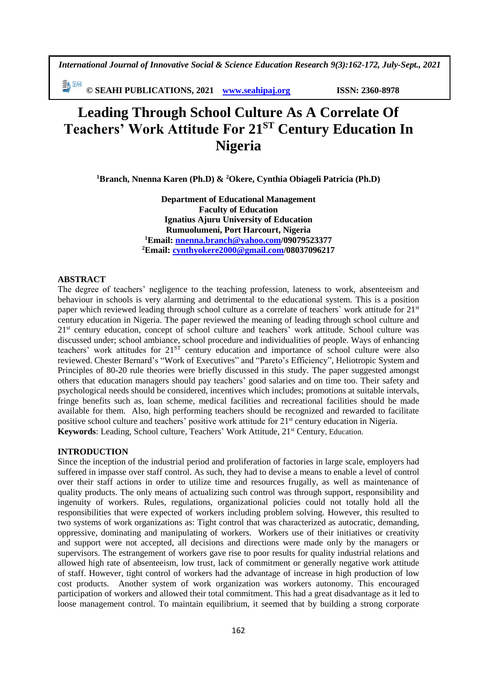*International Journal of Innovative Social & Science Education Research 9(3):162-172, July-Sept., 2021*

EA SEMI **© SEAHI PUBLICATIONS, 2021 [www.seahipaj.org](http://www.seahipaj.org/) ISSN: 2360-8978**

# **Leading Through School Culture As A Correlate Of Teachers' Work Attitude For 21ST Century Education In Nigeria**

**<sup>1</sup>Branch, Nnenna Karen (Ph.D) & <sup>2</sup>Okere, Cynthia Obiageli Patricia (Ph.D)**

**Department of Educational Management Faculty of Education Ignatius Ajuru University of Education Rumuolumeni, Port Harcourt, Nigeria <sup>1</sup>Email: [nnenna.branch@yahoo.com/](mailto:nnenna.branch@yahoo.com)09079523377 <sup>2</sup>Email: [cynthyokere2000@gmail.com/](mailto:cynthyokere2000@gmail.com)08037096217**

#### **ABSTRACT**

The degree of teachers' negligence to the teaching profession, lateness to work, absenteeism and behaviour in schools is very alarming and detrimental to the educational system. This is a position paper which reviewed leading through school culture as a correlate of teachers` work attitude for 21st century education in Nigeria. The paper reviewed the meaning of leading through school culture and 21<sup>st</sup> century education, concept of school culture and teachers' work attitude. School culture was discussed under; school ambiance, school procedure and individualities of people. Ways of enhancing teachers' work attitudes for 21<sup>ST</sup> century education and importance of school culture were also reviewed. Chester Bernard's "Work of Executives" and "Pareto's Efficiency", Heliotropic System and Principles of 80-20 rule theories were briefly discussed in this study. The paper suggested amongst others that education managers should pay teachers' good salaries and on time too. Their safety and psychological needs should be considered, incentives which includes; promotions at suitable intervals, fringe benefits such as, loan scheme, medical facilities and recreational facilities should be made available for them. Also, high performing teachers should be recognized and rewarded to facilitate positive school culture and teachers' positive work attitude for 21<sup>st</sup> century education in Nigeria. Keywords: Leading, School culture, Teachers' Work Attitude, 21<sup>st</sup> Century, Education.

#### **INTRODUCTION**

Since the inception of the industrial period and proliferation of factories in large scale, employers had suffered in impasse over staff control. As such, they had to devise a means to enable a level of control over their staff actions in order to utilize time and resources frugally, as well as maintenance of quality products. The only means of actualizing such control was through support, responsibility and ingenuity of workers. Rules, regulations, organizational policies could not totally hold all the responsibilities that were expected of workers including problem solving. However, this resulted to two systems of work organizations as: Tight control that was characterized as autocratic, demanding, oppressive, dominating and manipulating of workers. Workers use of their initiatives or creativity and support were not accepted, all decisions and directions were made only by the managers or supervisors. The estrangement of workers gave rise to poor results for quality industrial relations and allowed high rate of absenteeism, low trust, lack of commitment or generally negative work attitude of staff. However, tight control of workers had the advantage of increase in high production of low cost products. Another system of work organization was workers autonomy. This encouraged participation of workers and allowed their total commitment. This had a great disadvantage as it led to loose management control. To maintain equilibrium, it seemed that by building a strong corporate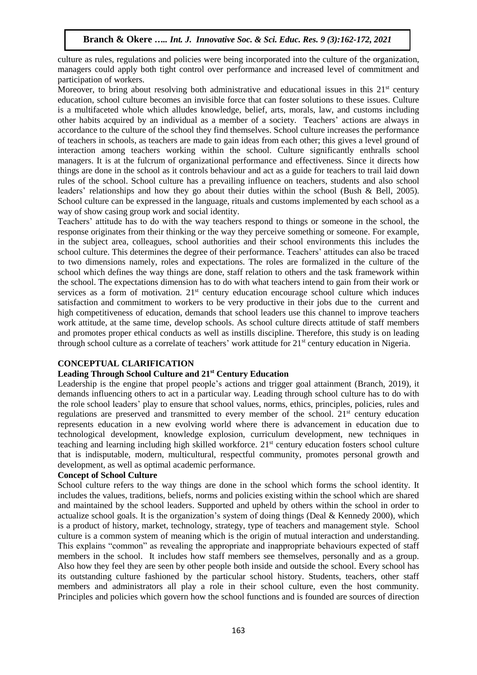culture as rules, regulations and policies were being incorporated into the culture of the organization, managers could apply both tight control over performance and increased level of commitment and participation of workers.

Moreover, to bring about resolving both administrative and educational issues in this  $21<sup>st</sup>$  century education, school culture becomes an invisible force that can foster solutions to these issues. Culture is a multifaceted whole which alludes knowledge, belief, arts, morals, law, and customs including other habits acquired by an individual as a member of a society. Teachers' actions are always in accordance to the culture of the school they find themselves. School culture increases the performance of teachers in schools, as teachers are made to gain ideas from each other; this gives a level ground of interaction among teachers working within the school. Culture significantly enthralls school managers. It is at the fulcrum of organizational performance and effectiveness. Since it directs how things are done in the school as it controls behaviour and act as a guide for teachers to trail laid down rules of the school. School culture has a prevailing influence on teachers, students and also school leaders' relationships and how they go about their duties within the school (Bush & Bell, 2005). School culture can be expressed in the language, rituals and customs implemented by each school as a way of show casing group work and social identity.

Teachers' attitude has to do with the way teachers respond to things or someone in the school, the response originates from their thinking or the way they perceive something or someone. For example, in the subject area, colleagues, school authorities and their school environments this includes the school culture. This determines the degree of their performance. Teachers' attitudes can also be traced to two dimensions namely, roles and expectations. The roles are formalized in the culture of the school which defines the way things are done, staff relation to others and the task framework within the school. The expectations dimension has to do with what teachers intend to gain from their work or services as a form of motivation. 21<sup>st</sup> century education encourage school culture which induces satisfaction and commitment to workers to be very productive in their jobs due to the current and high competitiveness of education, demands that school leaders use this channel to improve teachers work attitude, at the same time, develop schools. As school culture directs attitude of staff members and promotes proper ethical conducts as well as instills discipline. Therefore, this study is on leading through school culture as a correlate of teachers' work attitude for 21<sup>st</sup> century education in Nigeria.

## **CONCEPTUAL CLARIFICATION**

## **Leading Through School Culture and 21st Century Education**

Leadership is the engine that propel people's actions and trigger goal attainment (Branch, 2019), it demands influencing others to act in a particular way. Leading through school culture has to do with the role school leaders' play to ensure that school values, norms, ethics, principles, policies, rules and regulations are preserved and transmitted to every member of the school.  $21<sup>st</sup>$  century education represents education in a new evolving world where there is advancement in education due to technological development, knowledge explosion, curriculum development, new techniques in teaching and learning including high skilled workforce. 21<sup>st</sup> century education fosters school culture that is indisputable, modern, multicultural, respectful community, promotes personal growth and development, as well as optimal academic performance.

## **Concept of School Culture**

School culture refers to the way things are done in the school which forms the school identity. It includes the values, traditions, beliefs, norms and policies existing within the school which are shared and maintained by the school leaders. Supported and upheld by others within the school in order to actualize school goals. It is the organization's system of doing things (Deal  $&$  Kennedy 2000), which is a product of history, market, technology, strategy, type of teachers and management style. School culture is a common system of meaning which is the origin of mutual interaction and understanding. This explains "common" as revealing the appropriate and inappropriate behaviours expected of staff members in the school. It includes how staff members see themselves, personally and as a group. Also how they feel they are seen by other people both inside and outside the school. Every school has its outstanding culture fashioned by the particular school history. Students, teachers, other staff members and administrators all play a role in their school culture, even the host community. Principles and policies which govern how the school functions and is founded are sources of direction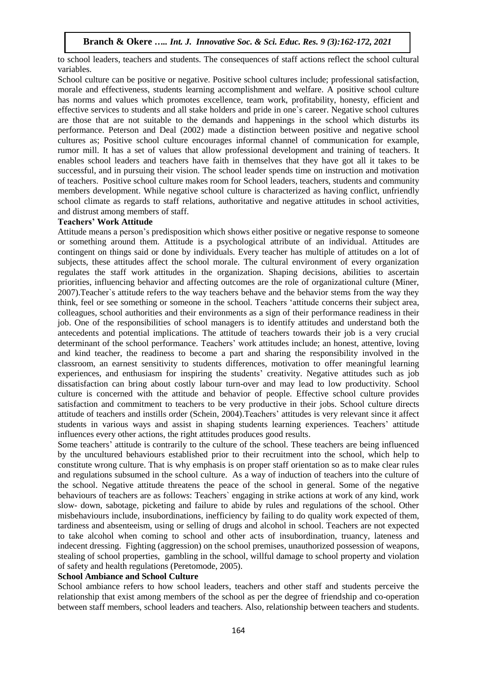to school leaders, teachers and students. The consequences of staff actions reflect the school cultural variables.

School culture can be positive or negative. Positive school cultures include; professional satisfaction, morale and effectiveness, students learning accomplishment and welfare. A positive school culture has norms and values which promotes excellence, team work, profitability, honesty, efficient and effective services to students and all stake holders and pride in one`s career. Negative school cultures are those that are not suitable to the demands and happenings in the school which disturbs its performance. Peterson and Deal (2002) made a distinction between positive and negative school cultures as; Positive school culture encourages informal channel of communication for example, rumor mill. It has a set of values that allow professional development and training of teachers. It enables school leaders and teachers have faith in themselves that they have got all it takes to be successful, and in pursuing their vision. The school leader spends time on instruction and motivation of teachers. Positive school culture makes room for School leaders, teachers, students and community members development. While negative school culture is characterized as having conflict, unfriendly school climate as regards to staff relations, authoritative and negative attitudes in school activities, and distrust among members of staff.

## **Teachers' Work Attitude**

Attitude means a person's predisposition which shows either positive or negative response to someone or something around them. Attitude is a psychological attribute of an individual. Attitudes are contingent on things said or done by individuals. Every teacher has multiple of attitudes on a lot of subjects, these attitudes affect the school morale. The cultural environment of every organization regulates the staff work attitudes in the organization. Shaping decisions, abilities to ascertain priorities, influencing behavior and affecting outcomes are the role of organizational culture (Miner, 2007).Teacher`s attitude refers to the way teachers behave and the behavior stems from the way they think, feel or see something or someone in the school. Teachers 'attitude concerns their subject area, colleagues, school authorities and their environments as a sign of their performance readiness in their job. One of the responsibilities of school managers is to identify attitudes and understand both the antecedents and potential implications. The attitude of teachers towards their job is a very crucial determinant of the school performance. Teachers' work attitudes include; an honest, attentive, loving and kind teacher, the readiness to become a part and sharing the responsibility involved in the classroom, an earnest sensitivity to students differences, motivation to offer meaningful learning experiences, and enthusiasm for inspiring the students' creativity. Negative attitudes such as job dissatisfaction can bring about costly labour turn-over and may lead to low productivity. School culture is concerned with the attitude and behavior of people. Effective school culture provides satisfaction and commitment to teachers to be very productive in their jobs. School culture directs attitude of teachers and instills order (Schein, 2004).Teachers' attitudes is very relevant since it affect students in various ways and assist in shaping students learning experiences. Teachers' attitude influences every other actions, the right attitudes produces good results.

Some teachers' attitude is contrarily to the culture of the school. These teachers are being influenced by the uncultured behaviours established prior to their recruitment into the school, which help to constitute wrong culture. That is why emphasis is on proper staff orientation so as to make clear rules and regulations subsumed in the school culture. As a way of induction of teachers into the culture of the school. Negative attitude threatens the peace of the school in general. Some of the negative behaviours of teachers are as follows: Teachers` engaging in strike actions at work of any kind, work slow- down, sabotage, picketing and failure to abide by rules and regulations of the school. Other misbehaviours include, insubordinations, inefficiency by failing to do quality work expected of them, tardiness and absenteeism, using or selling of drugs and alcohol in school. Teachers are not expected to take alcohol when coming to school and other acts of insubordination, truancy, lateness and indecent dressing. Fighting (aggression) on the school premises, unauthorized possession of weapons, stealing of school properties, gambling in the school, willful damage to school property and violation of safety and health regulations (Peretomode, 2005).

## **School Ambiance and School Culture**

School ambiance refers to how school leaders, teachers and other staff and students perceive the relationship that exist among members of the school as per the degree of friendship and co-operation between staff members, school leaders and teachers. Also, relationship between teachers and students.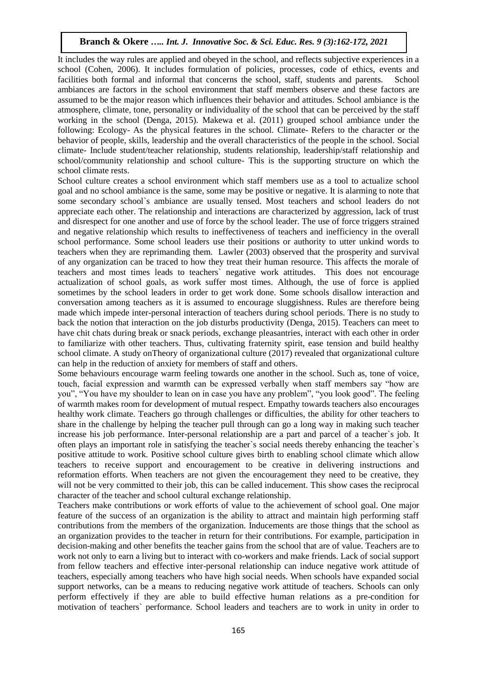It includes the way rules are applied and obeyed in the school, and reflects subjective experiences in a school (Cohen, 2006). It includes formulation of policies, processes, code of ethics, events and facilities both formal and informal that concerns the school, staff, students and parents. School ambiances are factors in the school environment that staff members observe and these factors are assumed to be the major reason which influences their behavior and attitudes. School ambiance is the atmosphere, climate, tone, personality or individuality of the school that can be perceived by the staff working in the school (Denga, 2015). Makewa et al. (2011) grouped school ambiance under the following: Ecology- As the physical features in the school. Climate- Refers to the character or the behavior of people, skills, leadership and the overall characteristics of the people in the school. Social climate- Include student/teacher relationship, students relationship, leadership/staff relationship and school/community relationship and school culture- This is the supporting structure on which the school climate rests.

School culture creates a school environment which staff members use as a tool to actualize school goal and no school ambiance is the same, some may be positive or negative. It is alarming to note that some secondary school`s ambiance are usually tensed. Most teachers and school leaders do not appreciate each other. The relationship and interactions are characterized by aggression, lack of trust and disrespect for one another and use of force by the school leader. The use of force triggers strained and negative relationship which results to ineffectiveness of teachers and inefficiency in the overall school performance. Some school leaders use their positions or authority to utter unkind words to teachers when they are reprimanding them. Lawler (2003) observed that the prosperity and survival of any organization can be traced to how they treat their human resource. This affects the morale of teachers and most times leads to teachers` negative work attitudes. This does not encourage actualization of school goals, as work suffer most times. Although, the use of force is applied sometimes by the school leaders in order to get work done. Some schools disallow interaction and conversation among teachers as it is assumed to encourage sluggishness. Rules are therefore being made which impede inter-personal interaction of teachers during school periods. There is no study to back the notion that interaction on the job disturbs productivity (Denga, 2015). Teachers can meet to have chit chats during break or snack periods, exchange pleasantries, interact with each other in order to familiarize with other teachers. Thus, cultivating fraternity spirit, ease tension and build healthy school climate. A study onTheory of organizational culture (2017) revealed that organizational culture can help in the reduction of anxiety for members of staff and others.

Some behaviours encourage warm feeling towards one another in the school. Such as, tone of voice, touch, facial expression and warmth can be expressed verbally when staff members say "how are you", "You have my shoulder to lean on in case you have any problem", "you look good". The feeling of warmth makes room for development of mutual respect. Empathy towards teachers also encourages healthy work climate. Teachers go through challenges or difficulties, the ability for other teachers to share in the challenge by helping the teacher pull through can go a long way in making such teacher increase his job performance. Inter-personal relationship are a part and parcel of a teacher`s job. It often plays an important role in satisfying the teacher`s social needs thereby enhancing the teacher`s positive attitude to work. Positive school culture gives birth to enabling school climate which allow teachers to receive support and encouragement to be creative in delivering instructions and reformation efforts. When teachers are not given the encouragement they need to be creative, they will not be very committed to their job, this can be called inducement. This show cases the reciprocal character of the teacher and school cultural exchange relationship.

Teachers make contributions or work efforts of value to the achievement of school goal. One major feature of the success of an organization is the ability to attract and maintain high performing staff contributions from the members of the organization. Inducements are those things that the school as an organization provides to the teacher in return for their contributions. For example, participation in decision-making and other benefits the teacher gains from the school that are of value. Teachers are to work not only to earn a living but to interact with co-workers and make friends. Lack of social support from fellow teachers and effective inter-personal relationship can induce negative work attitude of teachers, especially among teachers who have high social needs. When schools have expanded social support networks, can be a means to reducing negative work attitude of teachers. Schools can only perform effectively if they are able to build effective human relations as a pre-condition for motivation of teachers` performance. School leaders and teachers are to work in unity in order to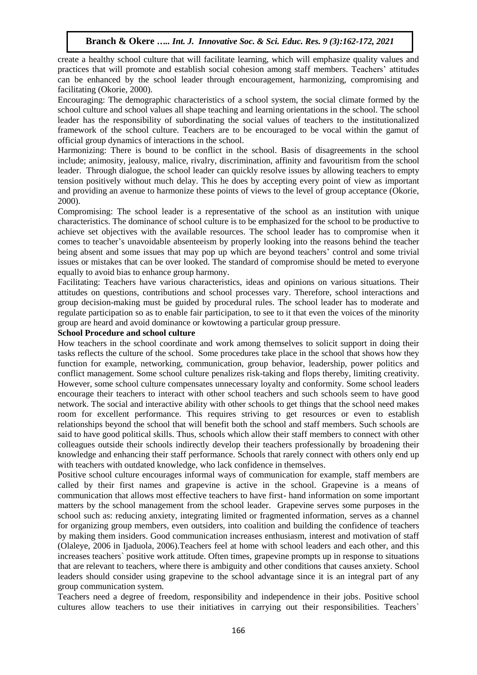create a healthy school culture that will facilitate learning, which will emphasize quality values and practices that will promote and establish social cohesion among staff members. Teachers' attitudes can be enhanced by the school leader through encouragement, harmonizing, compromising and facilitating (Okorie, 2000).

Encouraging: The demographic characteristics of a school system, the social climate formed by the school culture and school values all shape teaching and learning orientations in the school. The school leader has the responsibility of subordinating the social values of teachers to the institutionalized framework of the school culture. Teachers are to be encouraged to be vocal within the gamut of official group dynamics of interactions in the school.

Harmonizing: There is bound to be conflict in the school. Basis of disagreements in the school include; animosity, jealousy, malice, rivalry, discrimination, affinity and favouritism from the school leader. Through dialogue, the school leader can quickly resolve issues by allowing teachers to empty tension positively without much delay. This he does by accepting every point of view as important and providing an avenue to harmonize these points of views to the level of group acceptance (Okorie, 2000).

Compromising: The school leader is a representative of the school as an institution with unique characteristics. The dominance of school culture is to be emphasized for the school to be productive to achieve set objectives with the available resources. The school leader has to compromise when it comes to teacher's unavoidable absenteeism by properly looking into the reasons behind the teacher being absent and some issues that may pop up which are beyond teachers' control and some trivial issues or mistakes that can be over looked. The standard of compromise should be meted to everyone equally to avoid bias to enhance group harmony.

Facilitating: Teachers have various characteristics, ideas and opinions on various situations. Their attitudes on questions, contributions and school processes vary. Therefore, school interactions and group decision-making must be guided by procedural rules. The school leader has to moderate and regulate participation so as to enable fair participation, to see to it that even the voices of the minority group are heard and avoid dominance or kowtowing a particular group pressure.

#### **School Procedure and school culture**

How teachers in the school coordinate and work among themselves to solicit support in doing their tasks reflects the culture of the school. Some procedures take place in the school that shows how they function for example, networking, communication, group behavior, leadership, power politics and conflict management. Some school culture penalizes risk-taking and flops thereby, limiting creativity. However, some school culture compensates unnecessary loyalty and conformity. Some school leaders encourage their teachers to interact with other school teachers and such schools seem to have good network. The social and interactive ability with other schools to get things that the school need makes room for excellent performance. This requires striving to get resources or even to establish relationships beyond the school that will benefit both the school and staff members. Such schools are said to have good political skills. Thus, schools which allow their staff members to connect with other colleagues outside their schools indirectly develop their teachers professionally by broadening their knowledge and enhancing their staff performance. Schools that rarely connect with others only end up with teachers with outdated knowledge, who lack confidence in themselves.

Positive school culture encourages informal ways of communication for example, staff members are called by their first names and grapevine is active in the school. Grapevine is a means of communication that allows most effective teachers to have first- hand information on some important matters by the school management from the school leader. Grapevine serves some purposes in the school such as: reducing anxiety, integrating limited or fragmented information, serves as a channel for organizing group members, even outsiders, into coalition and building the confidence of teachers by making them insiders. Good communication increases enthusiasm, interest and motivation of staff (Olaleye, 2006 in Ijaduola, 2006).Teachers feel at home with school leaders and each other, and this increases teachers` positive work attitude. Often times, grapevine prompts up in response to situations that are relevant to teachers, where there is ambiguity and other conditions that causes anxiety. School leaders should consider using grapevine to the school advantage since it is an integral part of any group communication system.

Teachers need a degree of freedom, responsibility and independence in their jobs. Positive school cultures allow teachers to use their initiatives in carrying out their responsibilities. Teachers`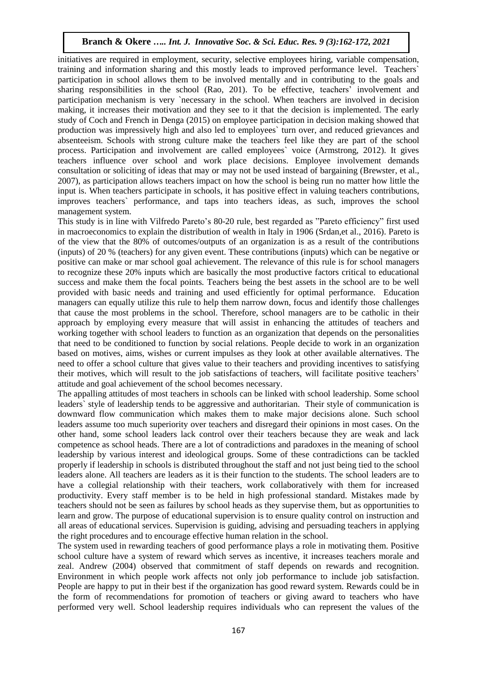initiatives are required in employment, security, selective employees hiring, variable compensation, training and information sharing and this mostly leads to improved performance level. Teachers` participation in school allows them to be involved mentally and in contributing to the goals and sharing responsibilities in the school (Rao, 201). To be effective, teachers' involvement and participation mechanism is very `necessary in the school. When teachers are involved in decision making, it increases their motivation and they see to it that the decision is implemented. The early study of Coch and French in Denga (2015) on employee participation in decision making showed that production was impressively high and also led to employees` turn over, and reduced grievances and absenteeism. Schools with strong culture make the teachers feel like they are part of the school process. Participation and involvement are called employees` voice (Armstrong, 2012). It gives teachers influence over school and work place decisions. Employee involvement demands consultation or soliciting of ideas that may or may not be used instead of bargaining (Brewster, et al., 2007), as participation allows teachers impact on how the school is being run no matter how little the input is. When teachers participate in schools, it has positive effect in valuing teachers contributions, improves teachers` performance, and taps into teachers ideas, as such, improves the school management system.

This study is in line with Vilfredo Pareto's 80-20 rule, best regarded as "Pareto efficiency" first used in macroeconomics to explain the distribution of wealth in Italy in 1906 (Srdan,et al., 2016). Pareto is of the view that the 80% of outcomes/outputs of an organization is as a result of the contributions (inputs) of 20 % (teachers) for any given event. These contributions (inputs) which can be negative or positive can make or mar school goal achievement. The relevance of this rule is for school managers to recognize these 20% inputs which are basically the most productive factors critical to educational success and make them the focal points. Teachers being the best assets in the school are to be well provided with basic needs and training and used efficiently for optimal performance. Education managers can equally utilize this rule to help them narrow down, focus and identify those challenges that cause the most problems in the school. Therefore, school managers are to be catholic in their approach by employing every measure that will assist in enhancing the attitudes of teachers and working together with school leaders to function as an organization that depends on the personalities that need to be conditioned to function by social relations. People decide to work in an organization based on motives, aims, wishes or current impulses as they look at other available alternatives. The need to offer a school culture that gives value to their teachers and providing incentives to satisfying their motives, which will result to the job satisfactions of teachers, will facilitate positive teachers' attitude and goal achievement of the school becomes necessary.

The appalling attitudes of most teachers in schools can be linked with school leadership. Some school leaders` style of leadership tends to be aggressive and authoritarian. Their style of communication is downward flow communication which makes them to make major decisions alone. Such school leaders assume too much superiority over teachers and disregard their opinions in most cases. On the other hand, some school leaders lack control over their teachers because they are weak and lack competence as school heads. There are a lot of contradictions and paradoxes in the meaning of school leadership by various interest and ideological groups. Some of these contradictions can be tackled properly if leadership in schools is distributed throughout the staff and not just being tied to the school leaders alone. All teachers are leaders as it is their function to the students. The school leaders are to have a collegial relationship with their teachers, work collaboratively with them for increased productivity. Every staff member is to be held in high professional standard. Mistakes made by teachers should not be seen as failures by school heads as they supervise them, but as opportunities to learn and grow. The purpose of educational supervision is to ensure quality control on instruction and all areas of educational services. Supervision is guiding, advising and persuading teachers in applying the right procedures and to encourage effective human relation in the school.

The system used in rewarding teachers of good performance plays a role in motivating them. Positive school culture have a system of reward which serves as incentive, it increases teachers morale and zeal. Andrew (2004) observed that commitment of staff depends on rewards and recognition. Environment in which people work affects not only job performance to include job satisfaction. People are happy to put in their best if the organization has good reward system. Rewards could be in the form of recommendations for promotion of teachers or giving award to teachers who have performed very well. School leadership requires individuals who can represent the values of the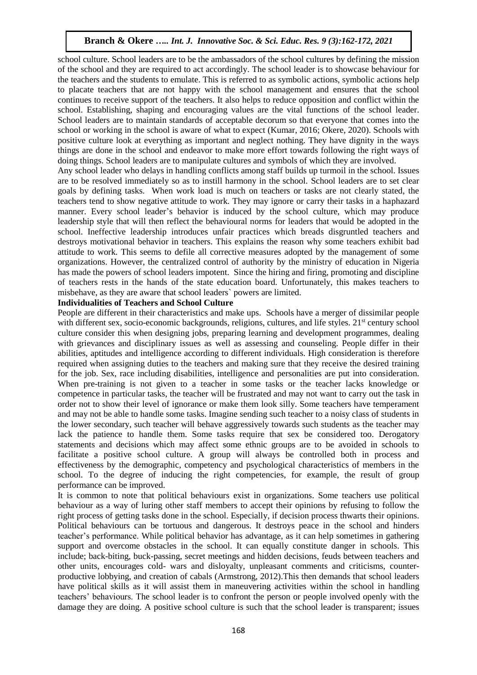school culture. School leaders are to be the ambassadors of the school cultures by defining the mission of the school and they are required to act accordingly. The school leader is to showcase behaviour for the teachers and the students to emulate. This is referred to as symbolic actions, symbolic actions help to placate teachers that are not happy with the school management and ensures that the school continues to receive support of the teachers. It also helps to reduce opposition and conflict within the school. Establishing, shaping and encouraging values are the vital functions of the school leader. School leaders are to maintain standards of acceptable decorum so that everyone that comes into the school or working in the school is aware of what to expect (Kumar, 2016; Okere, 2020). Schools with positive culture look at everything as important and neglect nothing. They have dignity in the ways things are done in the school and endeavor to make more effort towards following the right ways of doing things. School leaders are to manipulate cultures and symbols of which they are involved.

Any school leader who delays in handling conflicts among staff builds up turmoil in the school. Issues are to be resolved immediately so as to instill harmony in the school. School leaders are to set clear goals by defining tasks. When work load is much on teachers or tasks are not clearly stated, the teachers tend to show negative attitude to work. They may ignore or carry their tasks in a haphazard manner. Every school leader's behavior is induced by the school culture, which may produce leadership style that will then reflect the behavioural norms for leaders that would be adopted in the school. Ineffective leadership introduces unfair practices which breads disgruntled teachers and destroys motivational behavior in teachers. This explains the reason why some teachers exhibit bad attitude to work. This seems to defile all corrective measures adopted by the management of some organizations. However, the centralized control of authority by the ministry of education in Nigeria has made the powers of school leaders impotent. Since the hiring and firing, promoting and discipline of teachers rests in the hands of the state education board. Unfortunately, this makes teachers to misbehave, as they are aware that school leaders` powers are limited.

## **Individualities of Teachers and School Culture**

People are different in their characteristics and make ups. Schools have a merger of dissimilar people with different sex, socio-economic backgrounds, religions, cultures, and life styles. 21<sup>st</sup> century school culture consider this when designing jobs, preparing learning and development programmes, dealing with grievances and disciplinary issues as well as assessing and counseling. People differ in their abilities, aptitudes and intelligence according to different individuals. High consideration is therefore required when assigning duties to the teachers and making sure that they receive the desired training for the job. Sex, race including disabilities, intelligence and personalities are put into consideration. When pre-training is not given to a teacher in some tasks or the teacher lacks knowledge or competence in particular tasks, the teacher will be frustrated and may not want to carry out the task in order not to show their level of ignorance or make them look silly. Some teachers have temperament and may not be able to handle some tasks. Imagine sending such teacher to a noisy class of students in the lower secondary, such teacher will behave aggressively towards such students as the teacher may lack the patience to handle them. Some tasks require that sex be considered too. Derogatory statements and decisions which may affect some ethnic groups are to be avoided in schools to facilitate a positive school culture. A group will always be controlled both in process and effectiveness by the demographic, competency and psychological characteristics of members in the school. To the degree of inducing the right competencies, for example, the result of group performance can be improved.

It is common to note that political behaviours exist in organizations. Some teachers use political behaviour as a way of luring other staff members to accept their opinions by refusing to follow the right process of getting tasks done in the school. Especially, if decision process thwarts their opinions. Political behaviours can be tortuous and dangerous. It destroys peace in the school and hinders teacher's performance. While political behavior has advantage, as it can help sometimes in gathering support and overcome obstacles in the school. It can equally constitute danger in schools. This include; back-biting, buck-passing, secret meetings and hidden decisions, feuds between teachers and other units, encourages cold- wars and disloyalty, unpleasant comments and criticisms, counterproductive lobbying, and creation of cabals (Armstrong, 2012).This then demands that school leaders have political skills as it will assist them in maneuvering activities within the school in handling teachers' behaviours. The school leader is to confront the person or people involved openly with the damage they are doing. A positive school culture is such that the school leader is transparent; issues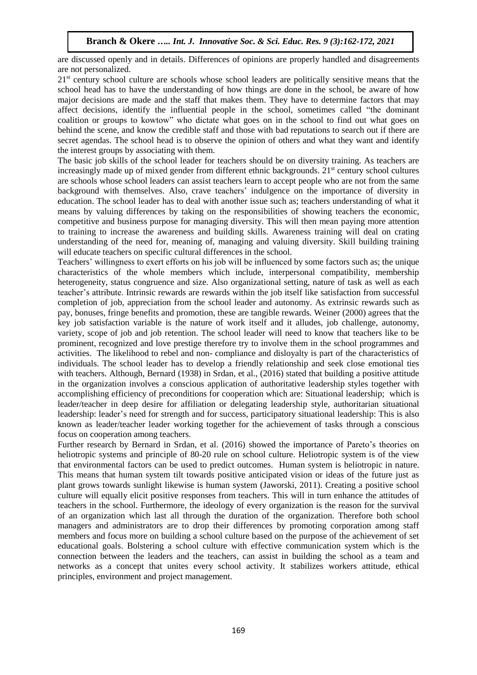are discussed openly and in details. Differences of opinions are properly handled and disagreements are not personalized.

21<sup>st</sup> century school culture are schools whose school leaders are politically sensitive means that the school head has to have the understanding of how things are done in the school, be aware of how major decisions are made and the staff that makes them. They have to determine factors that may affect decisions, identify the influential people in the school, sometimes called "the dominant coalition or groups to kowtow" who dictate what goes on in the school to find out what goes on behind the scene, and know the credible staff and those with bad reputations to search out if there are secret agendas. The school head is to observe the opinion of others and what they want and identify the interest groups by associating with them.

The basic job skills of the school leader for teachers should be on diversity training. As teachers are increasingly made up of mixed gender from different ethnic backgrounds.  $21<sup>st</sup>$  century school cultures are schools whose school leaders can assist teachers learn to accept people who are not from the same background with themselves. Also, crave teachers' indulgence on the importance of diversity in education. The school leader has to deal with another issue such as; teachers understanding of what it means by valuing differences by taking on the responsibilities of showing teachers the economic, competitive and business purpose for managing diversity. This will then mean paying more attention to training to increase the awareness and building skills. Awareness training will deal on crating understanding of the need for, meaning of, managing and valuing diversity. Skill building training will educate teachers on specific cultural differences in the school.

Teachers' willingness to exert efforts on his job will be influenced by some factors such as; the unique characteristics of the whole members which include, interpersonal compatibility, membership heterogeneity, status congruence and size. Also organizational setting, nature of task as well as each teacher's attribute. Intrinsic rewards are rewards within the job itself like satisfaction from successful completion of job, appreciation from the school leader and autonomy. As extrinsic rewards such as pay, bonuses, fringe benefits and promotion, these are tangible rewards. Weiner (2000) agrees that the key job satisfaction variable is the nature of work itself and it alludes, job challenge, autonomy, variety, scope of job and job retention. The school leader will need to know that teachers like to be prominent, recognized and love prestige therefore try to involve them in the school programmes and activities. The likelihood to rebel and non- compliance and disloyalty is part of the characteristics of individuals. The school leader has to develop a friendly relationship and seek close emotional ties with teachers. Although, Bernard (1938) in Srdan, et al., (2016) stated that building a positive attitude in the organization involves a conscious application of authoritative leadership styles together with accomplishing efficiency of preconditions for cooperation which are: Situational leadership; which is leader/teacher in deep desire for affiliation or delegating leadership style, authoritarian situational leadership: leader's need for strength and for success, participatory situational leadership: This is also known as leader/teacher leader working together for the achievement of tasks through a conscious focus on cooperation among teachers.

Further research by Bernard in Srdan, et al. (2016) showed the importance of Pareto's theories on heliotropic systems and principle of 80-20 rule on school culture. Heliotropic system is of the view that environmental factors can be used to predict outcomes. Human system is heliotropic in nature. This means that human system tilt towards positive anticipated vision or ideas of the future just as plant grows towards sunlight likewise is human system (Jaworski, 2011). Creating a positive school culture will equally elicit positive responses from teachers. This will in turn enhance the attitudes of teachers in the school. Furthermore, the ideology of every organization is the reason for the survival of an organization which last all through the duration of the organization. Therefore both school managers and administrators are to drop their differences by promoting corporation among staff members and focus more on building a school culture based on the purpose of the achievement of set educational goals. Bolstering a school culture with effective communication system which is the connection between the leaders and the teachers, can assist in building the school as a team and networks as a concept that unites every school activity. It stabilizes workers attitude, ethical principles, environment and project management.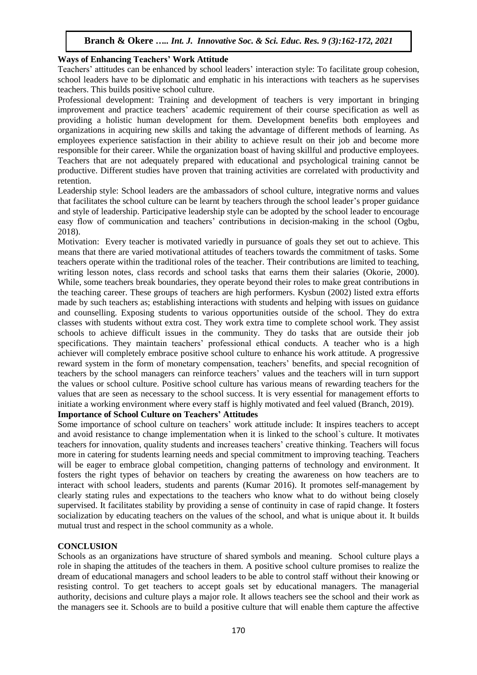#### **Ways of Enhancing Teachers' Work Attitude**

Teachers' attitudes can be enhanced by school leaders' interaction style: To facilitate group cohesion, school leaders have to be diplomatic and emphatic in his interactions with teachers as he supervises teachers. This builds positive school culture.

Professional development: Training and development of teachers is very important in bringing improvement and practice teachers' academic requirement of their course specification as well as providing a holistic human development for them. Development benefits both employees and organizations in acquiring new skills and taking the advantage of different methods of learning. As employees experience satisfaction in their ability to achieve result on their job and become more responsible for their career. While the organization boast of having skillful and productive employees. Teachers that are not adequately prepared with educational and psychological training cannot be productive. Different studies have proven that training activities are correlated with productivity and retention.

Leadership style: School leaders are the ambassadors of school culture, integrative norms and values that facilitates the school culture can be learnt by teachers through the school leader's proper guidance and style of leadership. Participative leadership style can be adopted by the school leader to encourage easy flow of communication and teachers' contributions in decision-making in the school (Ogbu, 2018).

Motivation: Every teacher is motivated variedly in pursuance of goals they set out to achieve. This means that there are varied motivational attitudes of teachers towards the commitment of tasks. Some teachers operate within the traditional roles of the teacher. Their contributions are limited to teaching, writing lesson notes, class records and school tasks that earns them their salaries (Okorie, 2000). While, some teachers break boundaries, they operate beyond their roles to make great contributions in the teaching career. These groups of teachers are high performers. Kysbun (2002) listed extra efforts made by such teachers as; establishing interactions with students and helping with issues on guidance and counselling. Exposing students to various opportunities outside of the school. They do extra classes with students without extra cost. They work extra time to complete school work. They assist schools to achieve difficult issues in the community. They do tasks that are outside their job specifications. They maintain teachers' professional ethical conducts. A teacher who is a high achiever will completely embrace positive school culture to enhance his work attitude. A progressive reward system in the form of monetary compensation, teachers' benefits, and special recognition of teachers by the school managers can reinforce teachers' values and the teachers will in turn support the values or school culture. Positive school culture has various means of rewarding teachers for the values that are seen as necessary to the school success. It is very essential for management efforts to initiate a working environment where every staff is highly motivated and feel valued (Branch, 2019).

## **Importance of School Culture on Teachers' Attitudes**

Some importance of school culture on teachers' work attitude include: It inspires teachers to accept and avoid resistance to change implementation when it is linked to the school`s culture. It motivates teachers for innovation, quality students and increases teachers' creative thinking. Teachers will focus more in catering for students learning needs and special commitment to improving teaching. Teachers will be eager to embrace global competition, changing patterns of technology and environment. It fosters the right types of behavior on teachers by creating the awareness on how teachers are to interact with school leaders, students and parents (Kumar 2016). It promotes self-management by clearly stating rules and expectations to the teachers who know what to do without being closely supervised. It facilitates stability by providing a sense of continuity in case of rapid change. It fosters socialization by educating teachers on the values of the school, and what is unique about it. It builds mutual trust and respect in the school community as a whole.

## **CONCLUSION**

Schools as an organizations have structure of shared symbols and meaning. School culture plays a role in shaping the attitudes of the teachers in them. A positive school culture promises to realize the dream of educational managers and school leaders to be able to control staff without their knowing or resisting control. To get teachers to accept goals set by educational managers. The managerial authority, decisions and culture plays a major role. It allows teachers see the school and their work as the managers see it. Schools are to build a positive culture that will enable them capture the affective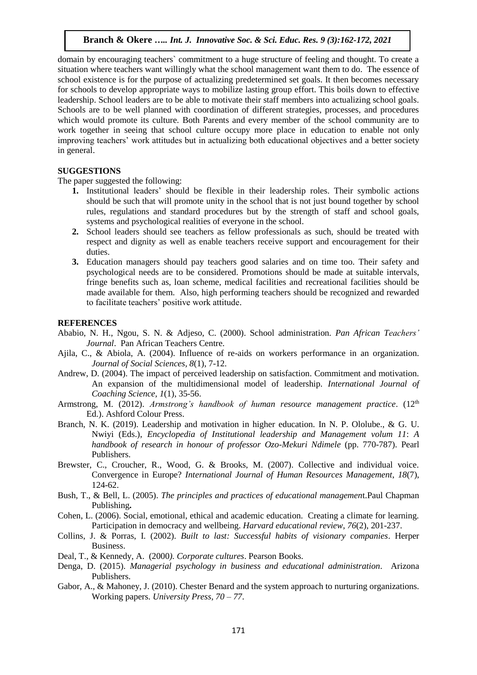domain by encouraging teachers` commitment to a huge structure of feeling and thought. To create a situation where teachers want willingly what the school management want them to do. The essence of school existence is for the purpose of actualizing predetermined set goals. It then becomes necessary for schools to develop appropriate ways to mobilize lasting group effort. This boils down to effective leadership. School leaders are to be able to motivate their staff members into actualizing school goals. Schools are to be well planned with coordination of different strategies, processes, and procedures which would promote its culture. Both Parents and every member of the school community are to work together in seeing that school culture occupy more place in education to enable not only improving teachers' work attitudes but in actualizing both educational objectives and a better society in general.

## **SUGGESTIONS**

The paper suggested the following:

- **1.** Institutional leaders' should be flexible in their leadership roles. Their symbolic actions should be such that will promote unity in the school that is not just bound together by school rules, regulations and standard procedures but by the strength of staff and school goals, systems and psychological realities of everyone in the school.
- **2.** School leaders should see teachers as fellow professionals as such, should be treated with respect and dignity as well as enable teachers receive support and encouragement for their duties.
- **3.** Education managers should pay teachers good salaries and on time too. Their safety and psychological needs are to be considered. Promotions should be made at suitable intervals, fringe benefits such as, loan scheme, medical facilities and recreational facilities should be made available for them. Also, high performing teachers should be recognized and rewarded to facilitate teachers' positive work attitude.

#### **REFERENCES**

- Ababio, N. H., Ngou, S. N. & Adjeso, C. (2000). School administration. *Pan African Teachers' Journal*. Pan African Teachers Centre.
- Ajila, C., & Abiola, A. (2004). Influence of re-aids on workers performance in an organization. *Journal of Social Sciences, 8*(1), 7-12.
- Andrew, D. (2004). The impact of perceived leadership on satisfaction. Commitment and motivation. An expansion of the multidimensional model of leadership. *International Journal of Coaching Science, 1*(1), 35-56.
- Armstrong, M. (2012). *Armstrong's handbook of human resource management practice*. (12<sup>th</sup> Ed.). Ashford Colour Press.
- Branch, N. K. (2019). Leadership and motivation in higher education. In N. P. Ololube., & G. U. Nwiyi (Eds.), *Encyclopedia of Institutional leadership and Management volum 11*: *A handbook of research in honour of professor Ozo-Mekuri Ndimele* (pp. 770-787). Pearl Publishers.
- Brewster, C., Croucher, R., Wood, G. & Brooks, M. (2007). Collective and individual voice. Convergence in Europe? *International Journal of Human Resources Management*, *18*(7), 124-62.
- Bush, T., & Bell, L. (2005). *The principles and practices of educational managemen*t.Paul Chapman Publishing**.**
- Cohen, L. (2006). Social, emotional, ethical and academic education. Creating a climate for learning. Participation in democracy and wellbeing. *Harvard educational review, 76*(2), 201-237.
- Collins, J. & Porras, I. (2002). *Built to last: Successful habits of visionary companies*. Herper Business.
- Deal, T., & Kennedy, A. (2000*). Corporate cultures*. Pearson Books.
- Denga, D. (2015). *Managerial psychology in business and educational administration*. Arizona Publishers.
- Gabor, A., & Mahoney, J. (2010). Chester Benard and the system approach to nurturing organizations. Working papers. *University Press, 70 – 77*.